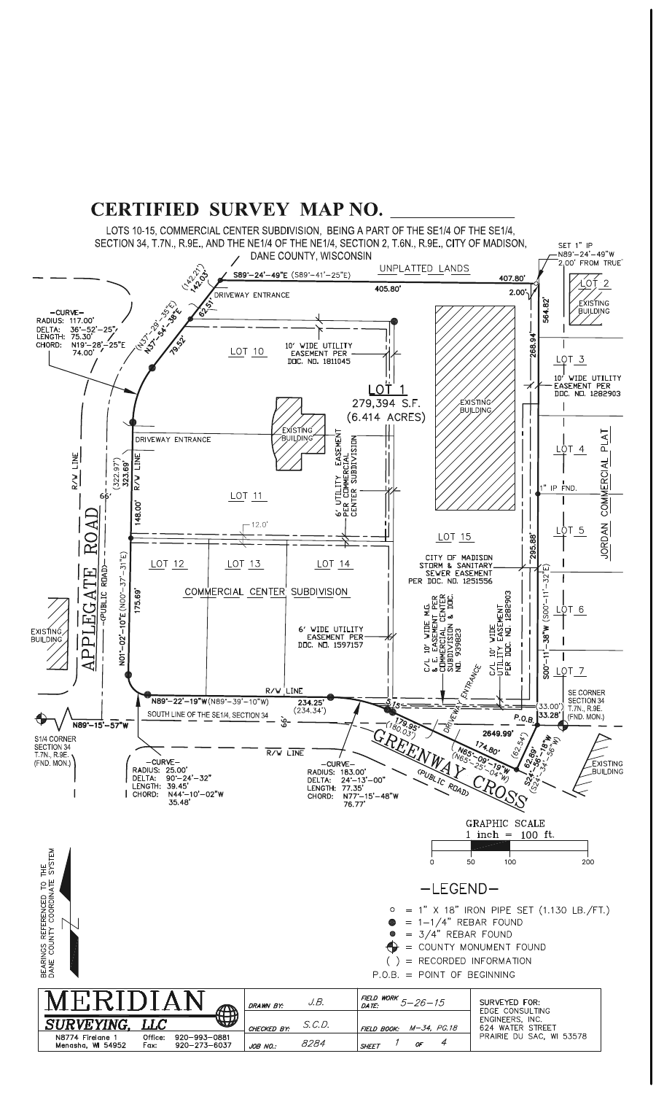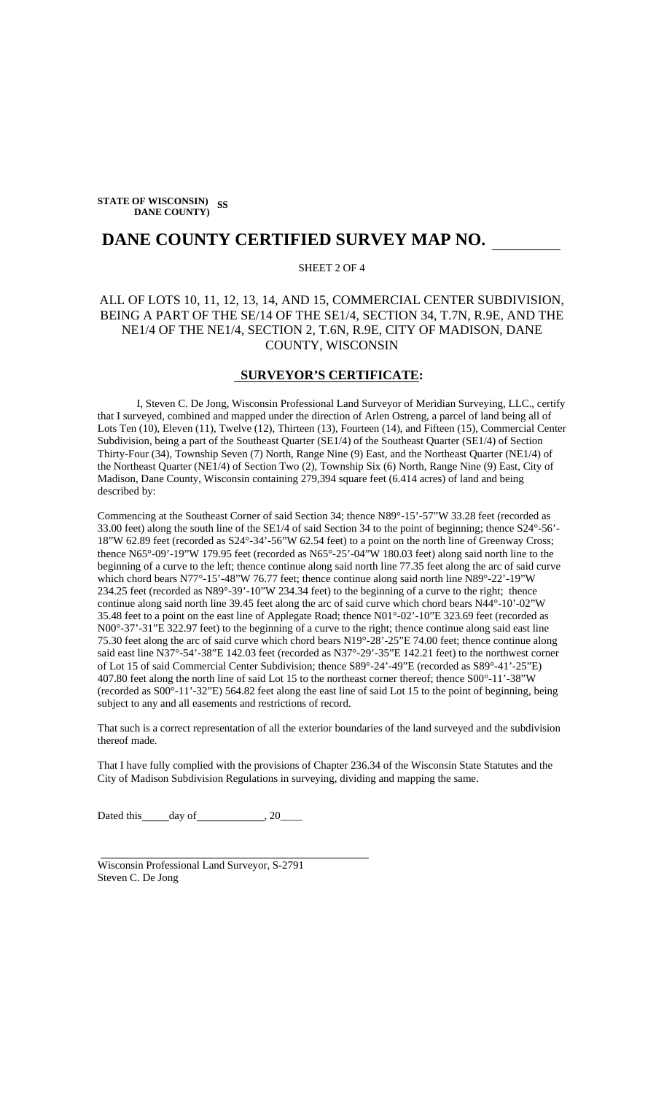**STATE OF WISCONSIN) SS DANE COUNTY)** 

# **DANE COUNTY CERTIFIED SURVEY MAP NO.**

### SHEET 2 OF 4

## ALL OF LOTS 10, 11, 12, 13, 14, AND 15, COMMERCIAL CENTER SUBDIVISION, BEING A PART OF THE SE/14 OF THE SE1/4, SECTION 34, T.7N, R.9E, AND THE NE1/4 OF THE NE1/4, SECTION 2, T.6N, R.9E, CITY OF MADISON, DANE COUNTY, WISCONSIN

#### **SURVEYOR'S CERTIFICATE:**

I, Steven C. De Jong, Wisconsin Professional Land Surveyor of Meridian Surveying, LLC., certify that I surveyed, combined and mapped under the direction of Arlen Ostreng, a parcel of land being all of Lots Ten (10), Eleven (11), Twelve (12), Thirteen (13), Fourteen (14), and Fifteen (15), Commercial Center Subdivision, being a part of the Southeast Quarter (SE1/4) of the Southeast Quarter (SE1/4) of Section Thirty-Four (34), Township Seven (7) North, Range Nine (9) East, and the Northeast Quarter (NE1/4) of the Northeast Quarter (NE1/4) of Section Two (2), Township Six (6) North, Range Nine (9) East, City of Madison, Dane County, Wisconsin containing 279,394 square feet (6.414 acres) of land and being described by:

Commencing at the Southeast Corner of said Section 34; thence N89°-15'-57"W 33.28 feet (recorded as 33.00 feet) along the south line of the SE1/4 of said Section 34 to the point of beginning; thence S24°-56'- 18"W 62.89 feet (recorded as S24°-34'-56"W 62.54 feet) to a point on the north line of Greenway Cross; thence N65°-09'-19"W 179.95 feet (recorded as N65°-25'-04"W 180.03 feet) along said north line to the beginning of a curve to the left; thence continue along said north line 77.35 feet along the arc of said curve which chord bears N77°-15'-48"W 76.77 feet; thence continue along said north line N89°-22'-19"W 234.25 feet (recorded as N89°-39'-10"W 234.34 feet) to the beginning of a curve to the right; thence continue along said north line 39.45 feet along the arc of said curve which chord bears N44°-10'-02"W 35.48 feet to a point on the east line of Applegate Road; thence N01°-02'-10"E 323.69 feet (recorded as N00°-37'-31"E 322.97 feet) to the beginning of a curve to the right; thence continue along said east line 75.30 feet along the arc of said curve which chord bears N19°-28'-25"E 74.00 feet; thence continue along said east line N37°-54'-38"E 142.03 feet (recorded as N37°-29'-35"E 142.21 feet) to the northwest corner of Lot 15 of said Commercial Center Subdivision; thence S89°-24'-49"E (recorded as S89°-41'-25"E) 407.80 feet along the north line of said Lot 15 to the northeast corner thereof; thence S00°-11'-38"W (recorded as S00°-11'-32"E) 564.82 feet along the east line of said Lot 15 to the point of beginning, being subject to any and all easements and restrictions of record.

That such is a correct representation of all the exterior boundaries of the land surveyed and the subdivision thereof made.

That I have fully complied with the provisions of Chapter 236.34 of the Wisconsin State Statutes and the City of Madison Subdivision Regulations in surveying, dividing and mapping the same.

Dated this  $\_\_day\$  of  $\_\_$ , 20 $\_\_$ 

Wisconsin Professional Land Surveyor, S-2791 Steven C. De Jong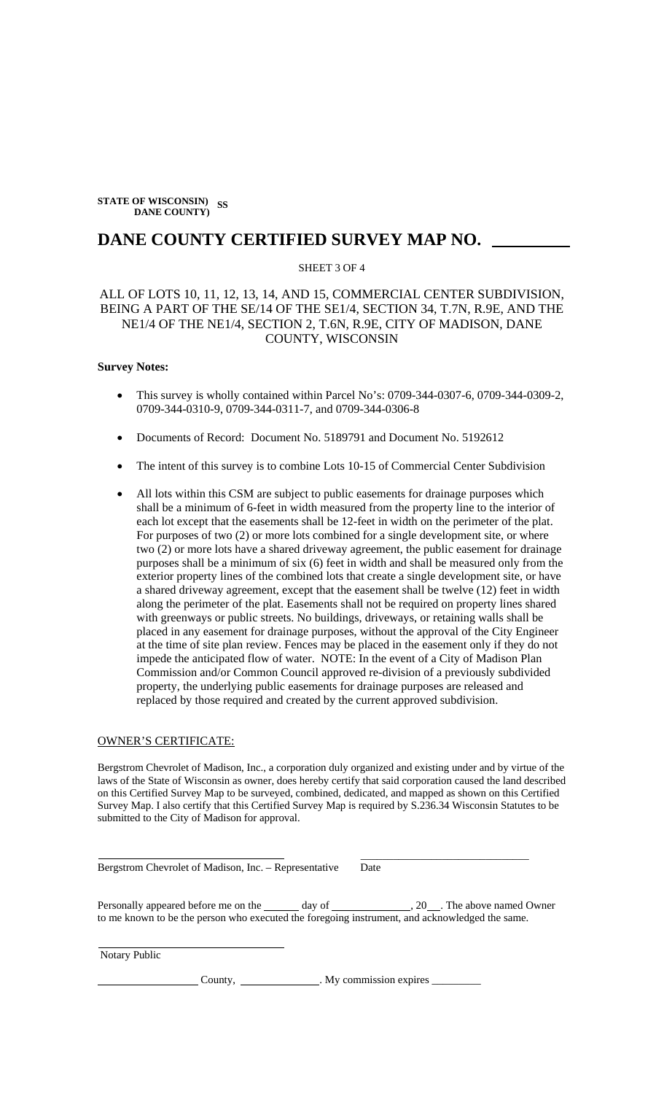**STATE OF WISCONSIN) SS DANE COUNTY)** 

# **DANE COUNTY CERTIFIED SURVEY MAP NO.**

### SHEET 3 OF 4

## ALL OF LOTS 10, 11, 12, 13, 14, AND 15, COMMERCIAL CENTER SUBDIVISION, BEING A PART OF THE SE/14 OF THE SE1/4, SECTION 34, T.7N, R.9E, AND THE NE1/4 OF THE NE1/4, SECTION 2, T.6N, R.9E, CITY OF MADISON, DANE COUNTY, WISCONSIN

#### **Survey Notes:**

- This survey is wholly contained within Parcel No's: 0709-344-0307-6, 0709-344-0309-2, 0709-344-0310-9, 0709-344-0311-7, and 0709-344-0306-8
- Documents of Record: Document No. 5189791 and Document No. 5192612
- The intent of this survey is to combine Lots 10-15 of Commercial Center Subdivision
- All lots within this CSM are subject to public easements for drainage purposes which shall be a minimum of 6-feet in width measured from the property line to the interior of each lot except that the easements shall be 12-feet in width on the perimeter of the plat. For purposes of two (2) or more lots combined for a single development site, or where two (2) or more lots have a shared driveway agreement, the public easement for drainage purposes shall be a minimum of six (6) feet in width and shall be measured only from the exterior property lines of the combined lots that create a single development site, or have a shared driveway agreement, except that the easement shall be twelve (12) feet in width along the perimeter of the plat. Easements shall not be required on property lines shared with greenways or public streets. No buildings, driveways, or retaining walls shall be placed in any easement for drainage purposes, without the approval of the City Engineer at the time of site plan review. Fences may be placed in the easement only if they do not impede the anticipated flow of water. NOTE: In the event of a City of Madison Plan Commission and/or Common Council approved re-division of a previously subdivided property, the underlying public easements for drainage purposes are released and replaced by those required and created by the current approved subdivision.

#### OWNER'S CERTIFICATE:

Bergstrom Chevrolet of Madison, Inc., a corporation duly organized and existing under and by virtue of the laws of the State of Wisconsin as owner, does hereby certify that said corporation caused the land described on this Certified Survey Map to be surveyed, combined, dedicated, and mapped as shown on this Certified Survey Map. I also certify that this Certified Survey Map is required by S.236.34 Wisconsin Statutes to be submitted to the City of Madison for approval.

Bergstrom Chevrolet of Madison, Inc. – Representative Date

Personally appeared before me on the day of , 20 . The above named Owner to me known to be the person who executed the foregoing instrument, and acknowledged the same.

Notary Public

County, \_\_\_\_\_\_\_\_\_\_\_\_\_\_\_. My commission expires \_\_\_\_\_\_\_\_\_\_\_\_\_\_\_\_.

 $\frac{1}{\sqrt{2}}$  ,  $\frac{1}{\sqrt{2}}$  ,  $\frac{1}{\sqrt{2}}$  ,  $\frac{1}{\sqrt{2}}$  ,  $\frac{1}{\sqrt{2}}$  ,  $\frac{1}{\sqrt{2}}$  ,  $\frac{1}{\sqrt{2}}$  ,  $\frac{1}{\sqrt{2}}$  ,  $\frac{1}{\sqrt{2}}$  ,  $\frac{1}{\sqrt{2}}$  ,  $\frac{1}{\sqrt{2}}$  ,  $\frac{1}{\sqrt{2}}$  ,  $\frac{1}{\sqrt{2}}$  ,  $\frac{1}{\sqrt{2}}$  ,  $\frac{1}{\sqrt{2}}$